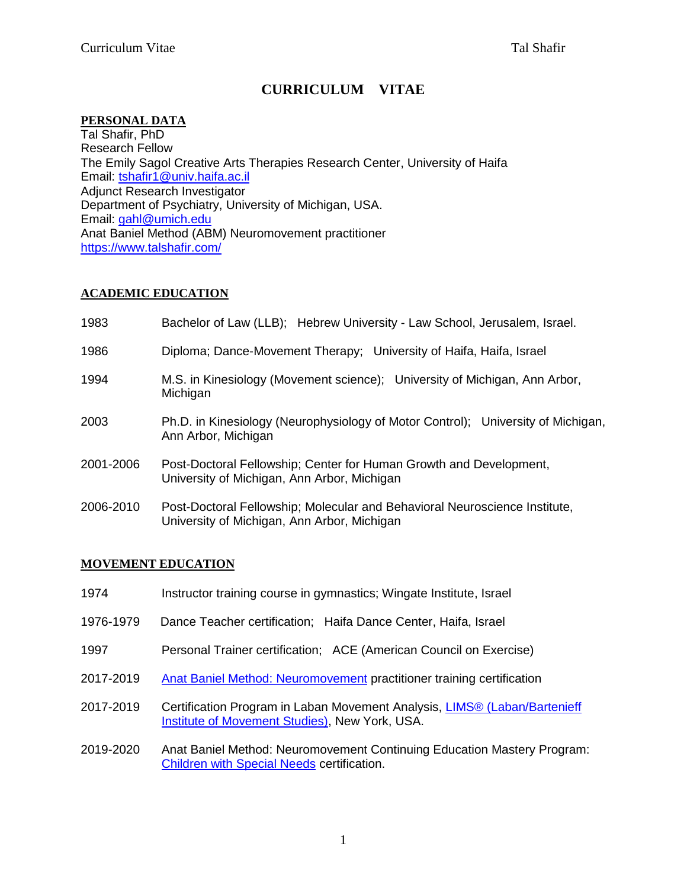# **CURRICULUM VITAE**

# **PERSONAL DATA**

Tal Shafir, PhD Research Fellow The Emily Sagol Creative Arts Therapies Research Center, University of Haifa Email: [tshafir1@univ.haifa.ac.il](mailto:tshafir1@univ.haifa.ac.il) Adjunct Research Investigator Department of Psychiatry, University of Michigan, USA. Email: [gahl@umich.edu](javascript:open_compose_win() Anat Baniel Method (ABM) Neuromovement practitioner <https://www.talshafir.com/>

# **ACADEMIC EDUCATION**

1983 Bachelor of Law (LLB); Hebrew University - Law School, Jerusalem, Israel. 1986 Diploma; Dance-Movement Therapy; University of Haifa, Haifa, Israel 1994 M.S. in Kinesiology (Movement science); University of Michigan, Ann Arbor, Michigan 2003 Ph.D. in Kinesiology (Neurophysiology of Motor Control); University of Michigan, Ann Arbor, Michigan 2001-2006 Post-Doctoral Fellowship; Center for Human Growth and Development, University of Michigan, Ann Arbor, Michigan 2006-2010 Post-Doctoral Fellowship; Molecular and Behavioral Neuroscience Institute,

# **MOVEMENT EDUCATION**

1974 Instructor training course in gymnastics; Wingate Institute, Israel

University of Michigan, Ann Arbor, Michigan

- 1976-1979 Dance Teacher certification; Haifa Dance Center, Haifa, Israel
- 1997 Personal Trainer certification; ACE (American Council on Exercise)
- 2017-2019 [Anat Baniel Method:](https://www.anatbanielmethod.com/about-abm/brain-plasticity-and-abm) Neuromovement practitioner training certification
- 2017-2019 Certification Program in Laban Movement Analysis, [LIMS® \(Laban/Bartenieff](https://labaninstitute.org/)  [Institute of Movement Studies\),](https://labaninstitute.org/) New York, USA.
- 2019-2020 Anat Baniel Method: Neuromovement Continuing Education Mastery Program: [Children with Special Needs](https://www.anatbanielmethod.com/children/children-with-special-needs/) certification.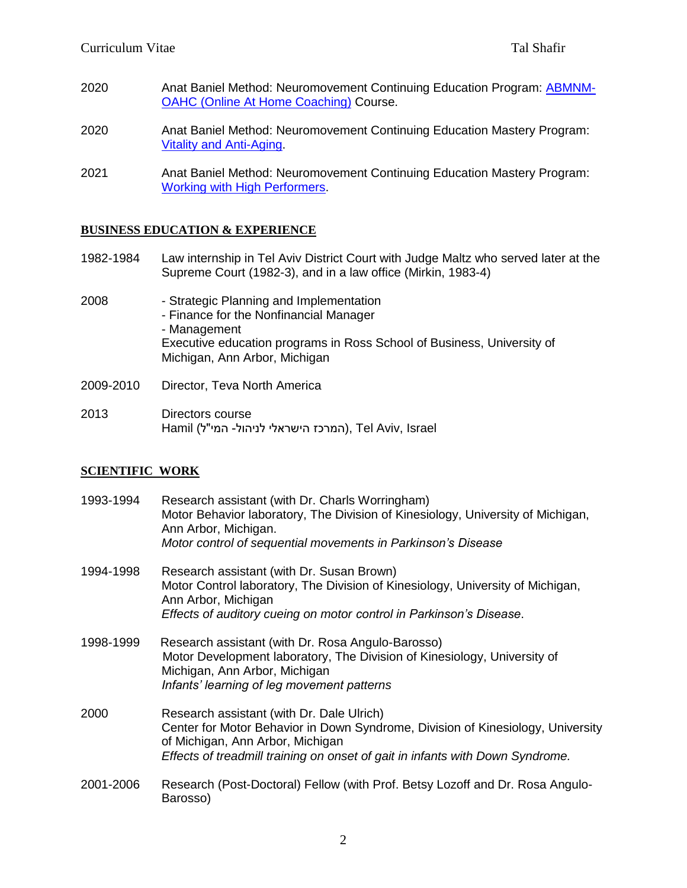- 2020 Anat Baniel Method: Neuromovement Continuing Education Program: [ABMNM-](https://www.anatbanielmethod.com/neuromovement-through-your-hands-coaching/)[OAHC \(Online At Home](https://www.anatbanielmethod.com/neuromovement-through-your-hands-coaching/) Coaching) Course.
- 2020 Anat Baniel Method: Neuromovement Continuing Education Mastery Program: [Vitality and Anti-Aging.](https://www.anatbanielmethod.com/neuromovement-through-your-hands-coaching/)
- 2021 Anat Baniel Method: Neuromovement Continuing Education Mastery Program: [Working with High Performers.](https://www.anatbanieltraining.com/continuing-education-mastery-workshops/neuromovement-high-performers/)

#### **BUSINESS EDUCATION & EXPERIENCE**

- 1982-1984 Law internship in Tel Aviv District Court with Judge Maltz who served later at the Supreme Court (1982-3), and in a law office (Mirkin, 1983-4)
- 2008 Strategic Planning and Implementation - Finance for the Nonfinancial Manager - Management Executive education programs in Ross School of Business, University of Michigan, Ann Arbor, Michigan
- 2009-2010 Director, Teva North America
- 2013 Directors course Hamil (המרכז הישראלי לניהול- המי"ל), Tel Aviv, Israel

### **SCIENTIFIC WORK**

| 1993-1994 | Research assistant (with Dr. Charls Worringham)<br>Motor Behavior laboratory, The Division of Kinesiology, University of Michigan,<br>Ann Arbor, Michigan.<br>Motor control of sequential movements in Parkinson's Disease                        |
|-----------|---------------------------------------------------------------------------------------------------------------------------------------------------------------------------------------------------------------------------------------------------|
| 1994-1998 | Research assistant (with Dr. Susan Brown)<br>Motor Control laboratory, The Division of Kinesiology, University of Michigan,<br>Ann Arbor, Michigan<br>Effects of auditory cueing on motor control in Parkinson's Disease.                         |
| 1998-1999 | Research assistant (with Dr. Rosa Angulo-Barosso)<br>Motor Development laboratory, The Division of Kinesiology, University of<br>Michigan, Ann Arbor, Michigan<br>Infants' learning of leg movement patterns                                      |
| 2000      | Research assistant (with Dr. Dale Ulrich)<br>Center for Motor Behavior in Down Syndrome, Division of Kinesiology, University<br>of Michigan, Ann Arbor, Michigan<br>Effects of treadmill training on onset of gait in infants with Down Syndrome. |
| 2001-2006 | Research (Post-Doctoral) Fellow (with Prof. Betsy Lozoff and Dr. Rosa Angulo-<br>Barosso)                                                                                                                                                         |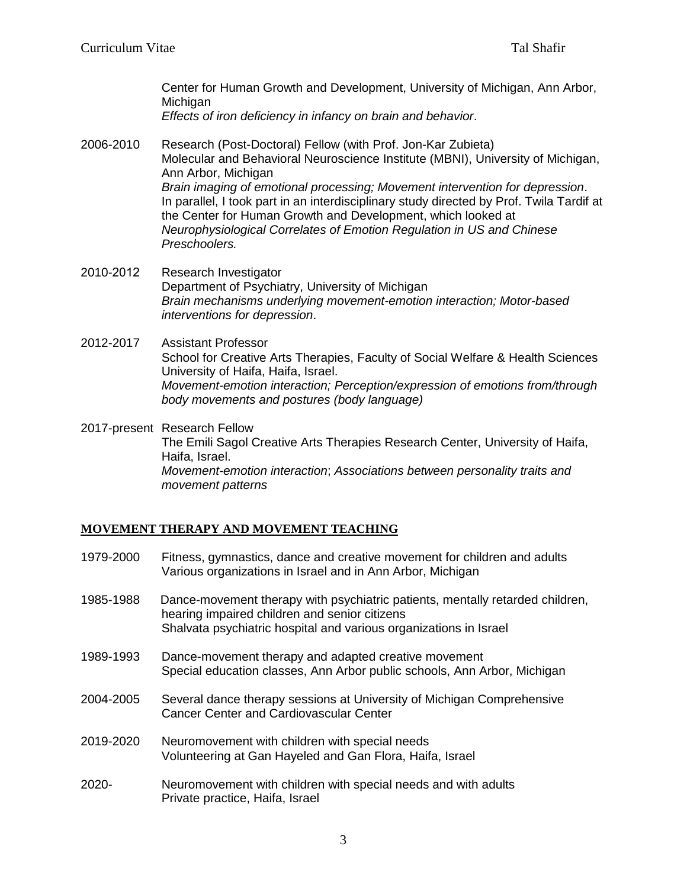Center for Human Growth and Development, University of Michigan, Ann Arbor, **Michigan** 

*Effects of iron deficiency in infancy on brain and behavior*.

- 2006-2010 Research (Post-Doctoral) Fellow (with Prof. Jon-Kar Zubieta) Molecular and Behavioral Neuroscience Institute (MBNI), University of Michigan, Ann Arbor, Michigan *Brain imaging of emotional processing; Movement intervention for depression*. In parallel, I took part in an interdisciplinary study directed by Prof. Twila Tardif at the Center for Human Growth and Development, which looked at *Neurophysiological Correlates of Emotion Regulation in US and Chinese Preschoolers.*
- 2010-2012 Research Investigator Department of Psychiatry, University of Michigan *Brain mechanisms underlying movement-emotion interaction; Motor-based interventions for depression*.
- 2012-2017 Assistant Professor School for Creative Arts Therapies, Faculty of Social Welfare & Health Sciences University of Haifa, Haifa, Israel. *Movement-emotion interaction; Perception/expression of emotions from/through body movements and postures (body language)*

2017-present Research Fellow The Emili Sagol Creative Arts Therapies Research Center, University of Haifa, Haifa, Israel. *Movement-emotion interaction*; *Associations between personality traits and movement patterns*

### **MOVEMENT THERAPY AND MOVEMENT TEACHING**

- 1979-2000 Fitness, gymnastics, dance and creative movement for children and adults Various organizations in Israel and in Ann Arbor, Michigan
- 1985-1988 Dance-movement therapy with psychiatric patients, mentally retarded children, hearing impaired children and senior citizens Shalvata psychiatric hospital and various organizations in Israel
- 1989-1993 Dance-movement therapy and adapted creative movement Special education classes, Ann Arbor public schools, Ann Arbor, Michigan
- 2004-2005 Several dance therapy sessions at University of Michigan Comprehensive Cancer Center and Cardiovascular Center
- 2019-2020 Neuromovement with children with special needs Volunteering at Gan Hayeled and Gan Flora, Haifa, Israel
- 2020- Neuromovement with children with special needs and with adults Private practice, Haifa, Israel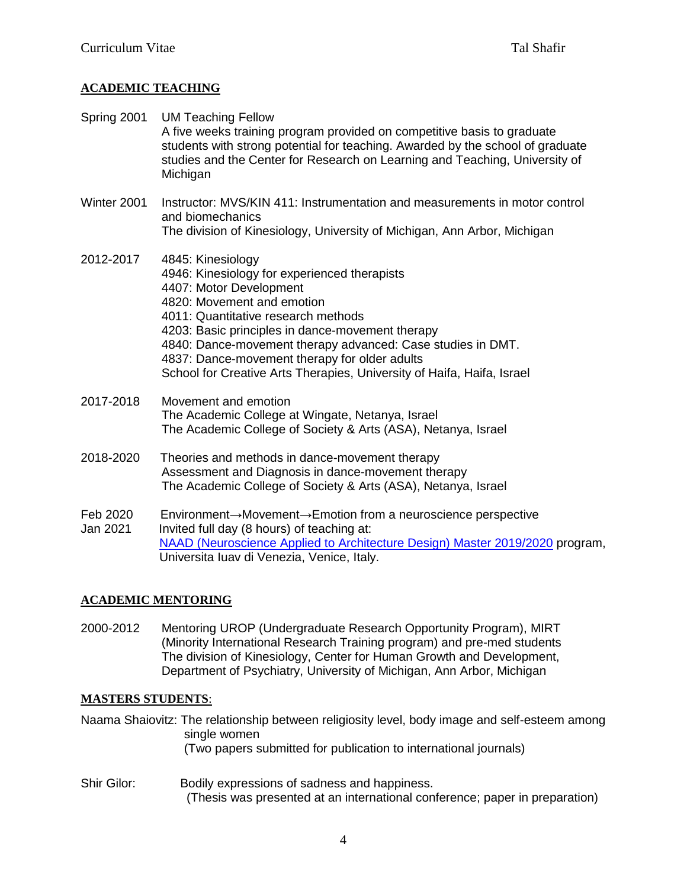# **ACADEMIC TEACHING**

- Spring 2001 UM Teaching Fellow A five weeks training program provided on competitive basis to graduate students with strong potential for teaching. Awarded by the school of graduate studies and the Center for Research on Learning and Teaching, University of Michigan
- Winter 2001 Instructor: MVS/KIN 411: Instrumentation and measurements in motor control and biomechanics The division of Kinesiology, University of Michigan, Ann Arbor, Michigan
- 2012-2017 4845: Kinesiology 4946: Kinesiology for experienced therapists 4407: Motor Development 4820: Movement and emotion 4011: Quantitative research methods 4203: Basic principles in dance-movement therapy 4840: Dance-movement therapy advanced: Case studies in DMT. 4837: Dance-movement therapy for older adults School for Creative Arts Therapies, University of Haifa, Haifa, Israel
- 2017-2018 Movement and emotion The Academic College at Wingate, Netanya, Israel The Academic College of Society & Arts (ASA), Netanya, Israel
- 2018-2020 Theories and methods in dance-movement therapy Assessment and Diagnosis in dance-movement therapy The Academic College of Society & Arts (ASA), Netanya, Israel
- Feb 2020 Environment→Movement→Emotion from a neuroscience perspective Jan 2021 Invited full day (8 hours) of teaching at: [NAAD \(Neuroscience Applied to Architecture Design\) Master](http://www.naad-master.com/) 2019/2020 program, Universita Iuav di Venezia, Venice, Italy.

### **ACADEMIC MENTORING**

2000-2012 Mentoring UROP (Undergraduate Research Opportunity Program), MIRT (Minority International Research Training program) and pre-med students The division of Kinesiology, Center for Human Growth and Development, Department of Psychiatry, University of Michigan, Ann Arbor, Michigan

### **MASTERS STUDENTS**:

Naama Shaiovitz: The relationship between religiosity level, body image and self-esteem among single women (Two papers submitted for publication to international journals)

Shir Gilor: Bodily expressions of sadness and happiness. (Thesis was presented at an international conference; paper in preparation)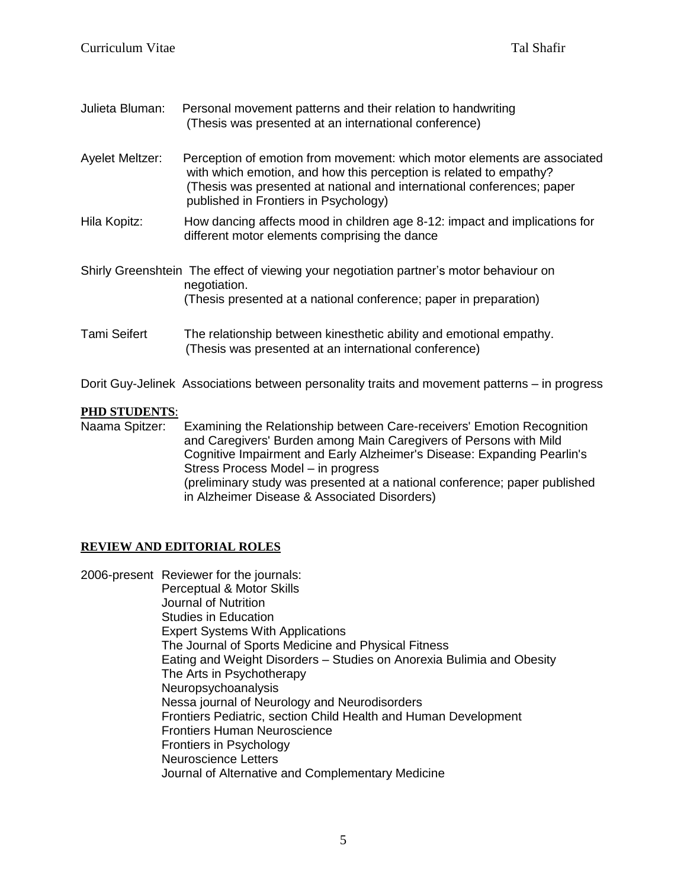| Julieta Bluman: | Personal movement patterns and their relation to handwriting<br>(Thesis was presented at an international conference) |  |
|-----------------|-----------------------------------------------------------------------------------------------------------------------|--|
| Ayelet Meltzer: | Perception of emotion from movement: which motor elements are associated                                              |  |

- with which emotion, and how this perception is related to empathy? (Thesis was presented at national and international conferences; paper published in Frontiers in Psychology)
- Hila Kopitz: How dancing affects mood in children age 8-12: impact and implications for different motor elements comprising the dance
- Shirly Greenshtein The effect of viewing your negotiation partner's motor behaviour on negotiation. (Thesis presented at a national conference; paper in preparation)
- Tami Seifert The relationship between kinesthetic ability and emotional empathy. (Thesis was presented at an international conference)
- Dorit Guy-Jelinek Associations between personality traits and movement patterns in progress

# **PHD STUDENTS**:

Naama Spitzer: Examining the Relationship between Care-receivers' Emotion Recognition and Caregivers' Burden among Main Caregivers of Persons with Mild Cognitive Impairment and Early Alzheimer's Disease: Expanding Pearlin's Stress Process Model – in progress (preliminary study was presented at a national conference; paper published in Alzheimer Disease & Associated Disorders)

# **REVIEW AND EDITORIAL ROLES**

2006-present Reviewer for the journals: Perceptual & Motor Skills Journal of Nutrition Studies in Education Expert Systems With Applications The Journal of Sports Medicine and Physical Fitness Eating and Weight Disorders – Studies on Anorexia Bulimia and Obesity The Arts in Psychotherapy Neuropsychoanalysis Nessa journal of Neurology and Neurodisorders Frontiers Pediatric, section Child Health and Human Development Frontiers Human Neuroscience Frontiers in Psychology Neuroscience Letters Journal of Alternative and Complementary Medicine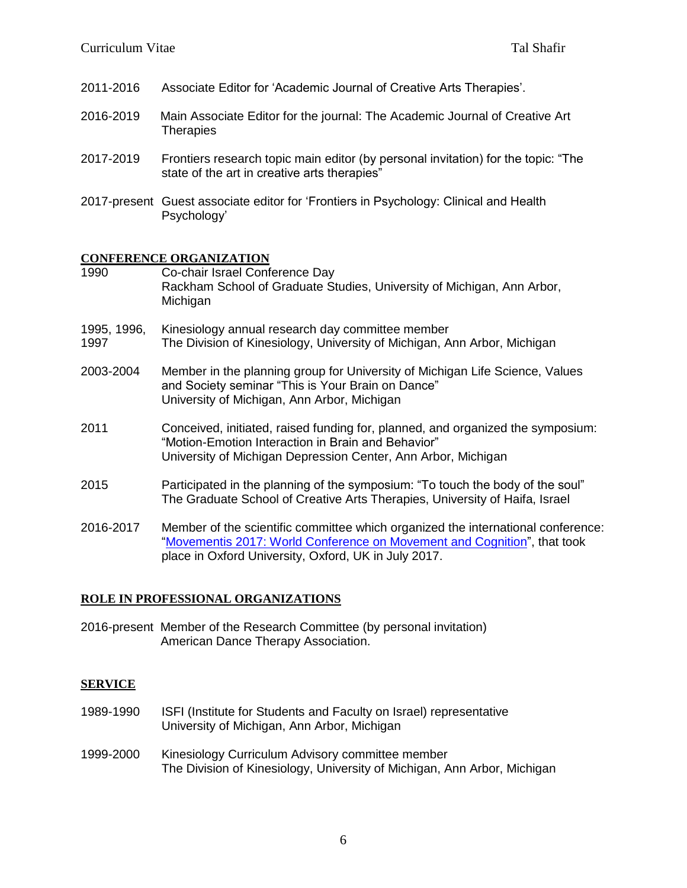- 2011-2016 Associate Editor for 'Academic Journal of Creative Arts Therapies'.
- 2016-2019 Main Associate Editor for the journal: The Academic Journal of Creative Art **Therapies**
- 2017-2019 Frontiers research topic main editor (by personal invitation) for the topic: "The state of the art in creative arts therapies"
- 2017-present Guest associate editor for 'Frontiers in Psychology: Clinical and Health Psychology'

#### **CONFERENCE ORGANIZATION**

1990 Co-chair Israel Conference Day Rackham School of Graduate Studies, University of Michigan, Ann Arbor, Michigan 1995, 1996, Kinesiology annual research day committee member 1997 The Division of Kinesiology, University of Michigan, Ann Arbor, Michigan 2003-2004 Member in the planning group for University of Michigan Life Science, Values and Society seminar "This is Your Brain on Dance" University of Michigan, Ann Arbor, Michigan 2011 Conceived, initiated, raised funding for, planned, and organized the symposium: "Motion-Emotion Interaction in Brain and Behavior" University of Michigan Depression Center, Ann Arbor, Michigan 2015 Participated in the planning of the symposium: "To touch the body of the soul" The Graduate School of Creative Arts Therapies, University of Haifa, Israel 2016-2017 Member of the scientific committee which organized the international conference: ["Movementis 2017: World Conference on Movement and](http://2017.movementis.com/scientific-committee/) Cognition", that took

#### **ROLE IN PROFESSIONAL ORGANIZATIONS**

2016-present Member of the Research Committee (by personal invitation) American Dance Therapy Association.

place in Oxford University, Oxford, UK in July 2017.

#### **SERVICE**

- 1989-1990 ISFI (Institute for Students and Faculty on Israel) representative University of Michigan, Ann Arbor, Michigan
- 1999-2000 Kinesiology Curriculum Advisory committee member The Division of Kinesiology, University of Michigan, Ann Arbor, Michigan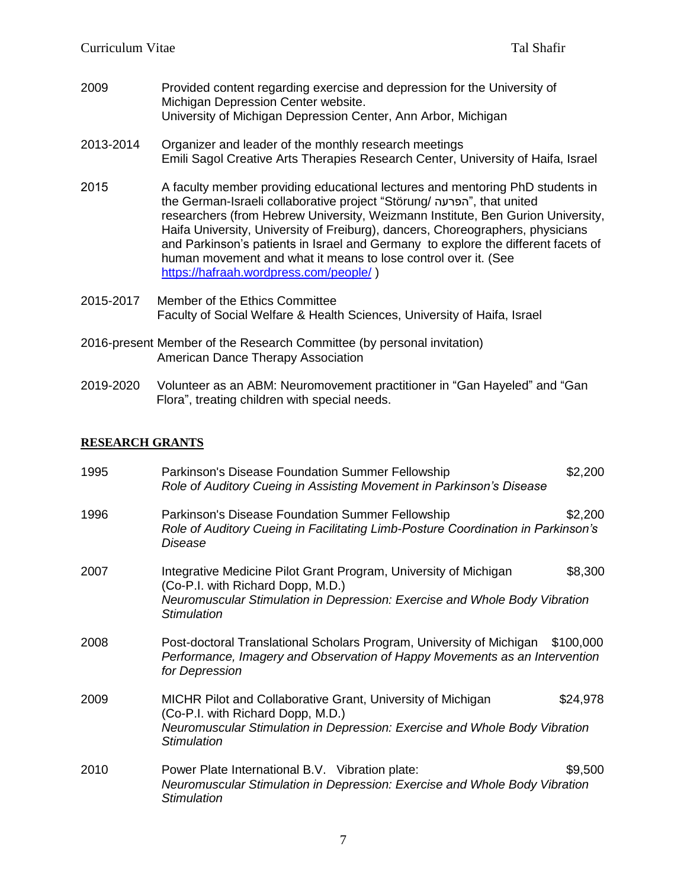2009 Provided content regarding exercise and depression for the University of Michigan Depression Center website. University of Michigan Depression Center, Ann Arbor, Michigan

#### 2013-2014 Organizer and leader of the monthly research meetings Emili Sagol Creative Arts Therapies Research Center, University of Haifa, Israel

- 2015 A faculty member providing educational lectures and mentoring PhD students in the German-Israeli collaborative project "Störung/ הפרעה", that united researchers (from Hebrew University, Weizmann Institute, Ben Gurion University, Haifa University, University of Freiburg), dancers, Choreographers, physicians and Parkinson's patients in Israel and Germany to explore the different facets of human movement and what it means to lose control over it. (See <https://hafraah.wordpress.com/people/> )
- 2015-2017 Member of the Ethics Committee Faculty of Social Welfare & Health Sciences, University of Haifa, Israel
- 2016-present Member of the Research Committee (by personal invitation) American Dance Therapy Association
- 2019-2020 Volunteer as an ABM: Neuromovement practitioner in "Gan Hayeled" and "Gan Flora", treating children with special needs.

### **RESEARCH GRANTS**

| 1995 | Parkinson's Disease Foundation Summer Fellowship<br>Role of Auditory Cueing in Assisting Movement in Parkinson's Disease                                                                                  | \$2,200  |
|------|-----------------------------------------------------------------------------------------------------------------------------------------------------------------------------------------------------------|----------|
| 1996 | Parkinson's Disease Foundation Summer Fellowship<br>Role of Auditory Cueing in Facilitating Limb-Posture Coordination in Parkinson's<br>Disease                                                           | \$2,200  |
| 2007 | Integrative Medicine Pilot Grant Program, University of Michigan<br>(Co-P.I. with Richard Dopp, M.D.)<br>Neuromuscular Stimulation in Depression: Exercise and Whole Body Vibration<br><b>Stimulation</b> | \$8,300  |
| 2008 | Post-doctoral Translational Scholars Program, University of Michigan \$100,000<br>Performance, Imagery and Observation of Happy Movements as an Intervention<br>for Depression                            |          |
| 2009 | MICHR Pilot and Collaborative Grant, University of Michigan<br>(Co-P.I. with Richard Dopp, M.D.)<br>Neuromuscular Stimulation in Depression: Exercise and Whole Body Vibration<br>Stimulation             | \$24,978 |
| 2010 | Power Plate International B.V. Vibration plate:<br>Neuromuscular Stimulation in Depression: Exercise and Whole Body Vibration<br><b>Stimulation</b>                                                       | \$9,500  |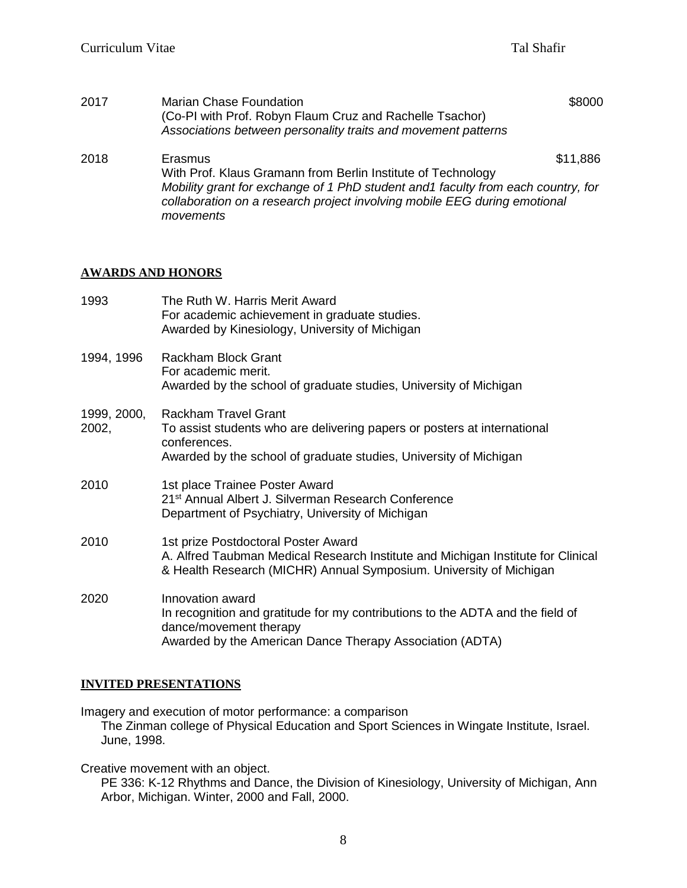| 2017 | <b>Marian Chase Foundation</b><br>(Co-PI with Prof. Robyn Flaum Cruz and Rachelle Tsachor)<br>Associations between personality traits and movement patterns                 | \$8000   |
|------|-----------------------------------------------------------------------------------------------------------------------------------------------------------------------------|----------|
| 2018 | Erasmus<br>With Prof. Klaus Gramann from Berlin Institute of Technology                                                                                                     | \$11,886 |
|      | Mobility grant for exchange of 1 PhD student and 1 faculty from each country, for<br>collaboration on a research project involving mobile EEG during emotional<br>movements |          |

#### **AWARDS AND HONORS**

| 1993                 | The Ruth W. Harris Merit Award<br>For academic achievement in graduate studies.<br>Awarded by Kinesiology, University of Michigan                                                             |
|----------------------|-----------------------------------------------------------------------------------------------------------------------------------------------------------------------------------------------|
| 1994, 1996           | <b>Rackham Block Grant</b><br>For academic merit.<br>Awarded by the school of graduate studies, University of Michigan                                                                        |
| 1999, 2000,<br>2002, | <b>Rackham Travel Grant</b><br>To assist students who are delivering papers or posters at international<br>conferences.<br>Awarded by the school of graduate studies, University of Michigan  |
| 2010                 | 1st place Trainee Poster Award<br>21 <sup>st</sup> Annual Albert J. Silverman Research Conference<br>Department of Psychiatry, University of Michigan                                         |
| 2010                 | 1st prize Postdoctoral Poster Award<br>A. Alfred Taubman Medical Research Institute and Michigan Institute for Clinical<br>& Health Research (MICHR) Annual Symposium. University of Michigan |
| 2020                 | Innovation award<br>In recognition and gratitude for my contributions to the ADTA and the field of<br>dance/movement therapy<br>Awarded by the American Dance Therapy Association (ADTA)      |

### **INVITED PRESENTATIONS**

Imagery and execution of motor performance: a comparison

The Zinman college of Physical Education and Sport Sciences in Wingate Institute, Israel. June, 1998.

Creative movement with an object.

PE 336: K-12 Rhythms and Dance, the Division of Kinesiology, University of Michigan, Ann Arbor, Michigan. Winter, 2000 and Fall, 2000.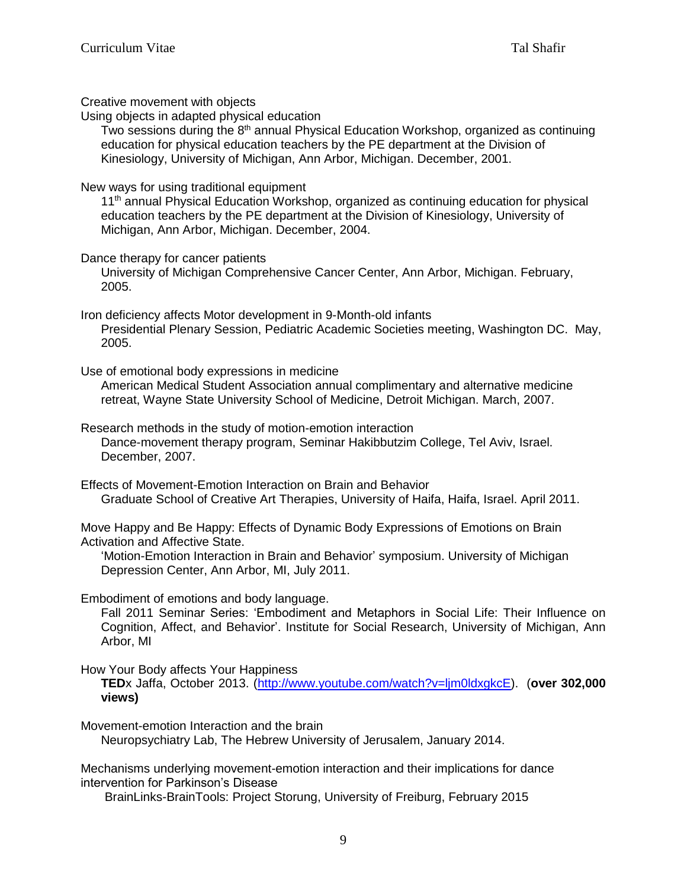Creative movement with objects

Using objects in adapted physical education

Two sessions during the 8<sup>th</sup> annual Physical Education Workshop, organized as continuing education for physical education teachers by the PE department at the Division of Kinesiology, University of Michigan, Ann Arbor, Michigan. December, 2001.

### New ways for using traditional equipment

11<sup>th</sup> annual Physical Education Workshop, organized as continuing education for physical education teachers by the PE department at the Division of Kinesiology, University of Michigan, Ann Arbor, Michigan. December, 2004.

#### Dance therapy for cancer patients

University of Michigan Comprehensive Cancer Center, Ann Arbor, Michigan. February, 2005.

Iron deficiency affects Motor development in 9-Month-old infants Presidential Plenary Session, Pediatric Academic Societies meeting, Washington DC. May, 2005.

Use of emotional body expressions in medicine

American Medical Student Association annual complimentary and alternative medicine retreat, Wayne State University School of Medicine, Detroit Michigan. March, 2007.

Research methods in the study of motion-emotion interaction Dance-movement therapy program, Seminar Hakibbutzim College, Tel Aviv, Israel. December, 2007.

Effects of Movement-Emotion Interaction on Brain and Behavior Graduate School of Creative Art Therapies, University of Haifa, Haifa, Israel. April 2011.

Move Happy and Be Happy: Effects of Dynamic Body Expressions of Emotions on Brain Activation and Affective State.

'Motion-Emotion Interaction in Brain and Behavior' symposium. University of Michigan Depression Center, Ann Arbor, MI, July 2011.

Embodiment of emotions and body language.

Fall 2011 Seminar Series: 'Embodiment and Metaphors in Social Life: Their Influence on Cognition, Affect, and Behavior'. Institute for Social Research, University of Michigan, Ann Arbor, MI

How Your Body affects Your Happiness

**TED**x Jaffa, October 2013. [\(http://www.youtube.com/watch?v=ljm0ldxgkcE\)](http://www.youtube.com/watch?v=ljm0ldxgkcE). (**over 302,000 views)**

Movement-emotion Interaction and the brain

Neuropsychiatry Lab, The Hebrew University of Jerusalem, January 2014.

Mechanisms underlying movement-emotion interaction and their implications for dance intervention for Parkinson's Disease

BrainLinks-BrainTools: Project Storung, University of Freiburg, February 2015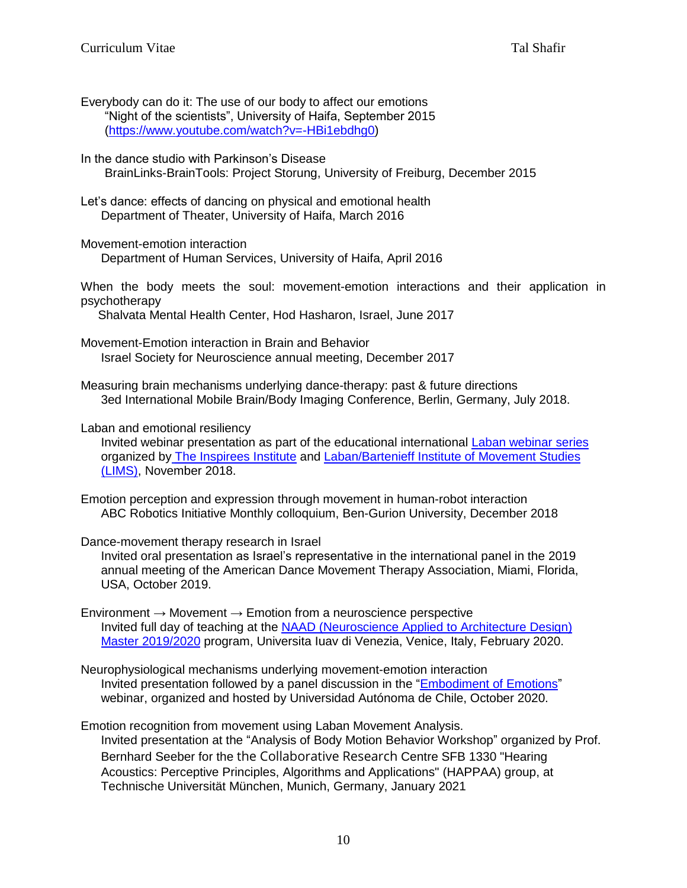- Everybody can do it: The use of our body to affect our emotions "Night of the scientists", University of Haifa, September 2015 [\(https://www.youtube.com/watch?v=-HBi1ebdhg0\)](https://www.youtube.com/watch?v=-HBi1ebdhg0)
- In the dance studio with Parkinson's Disease BrainLinks-BrainTools: Project Storung, University of Freiburg, December 2015
- Let's dance: effects of dancing on physical and emotional health Department of Theater, University of Haifa, March 2016
- Movement-emotion interaction

Department of Human Services, University of Haifa, April 2016

When the body meets the soul: movement-emotion interactions and their application in psychotherapy

Shalvata Mental Health Center, Hod Hasharon, Israel, June 2017

Movement-Emotion interaction in Brain and Behavior Israel Society for Neuroscience annual meeting, December 2017

Measuring brain mechanisms underlying dance-therapy: past & future directions 3ed International Mobile Brain/Body Imaging Conference, Berlin, Germany, July 2018.

#### Laban and emotional resiliency

Invited webinar presentation as part of the educational international [Laban webinar series](https://www.inspirees.com/institute/knowledge-center/webinar-series/laban-webinar-series) organized by [The Inspirees Institute](https://www.inspirees.com/institute/knowledge-center/webinar-series/laban-webinar-series) and Laban/Bartenieff Institute of Movement Studies [\(LIMS\),](https://labaninstitute.org/) November 2018.

- Emotion perception and expression through movement in human-robot interaction ABC Robotics Initiative Monthly colloquium, Ben-Gurion University, December 2018
- Dance-movement therapy research in Israel
	- Invited oral presentation as Israel's representative in the international panel in the 2019 annual meeting of the American Dance Movement Therapy Association, Miami, Florida, USA, October 2019.
- Environment  $\rightarrow$  Movement  $\rightarrow$  Emotion from a neuroscience perspective Invited full day of teaching at the [NAAD \(Neuroscience Applied to Architecture Design\)](http://www.naad-master.com/)  Master [2019/2020](http://www.naad-master.com/) program, Universita Iuav di Venezia, Venice, Italy, February 2020.
- Neurophysiological mechanisms underlying movement-emotion interaction Invited presentation followed by a panel discussion in the ["Embodiment of Emotions"](https://www.youtube.com/watch?v=9E7CM3VWyUg) webinar, organized and hosted by Universidad Autónoma de Chile, October 2020.
- Emotion recognition from movement using Laban Movement Analysis. Invited presentation at the "Analysis of Body Motion Behavior Workshop" organized by Prof. Bernhard Seeber for the the Collaborative Research Centre SFB 1330 "Hearing Acoustics: Perceptive Principles, Algorithms and Applications" (HAPPAA) group, at Technische Universität München, Munich, Germany, January 2021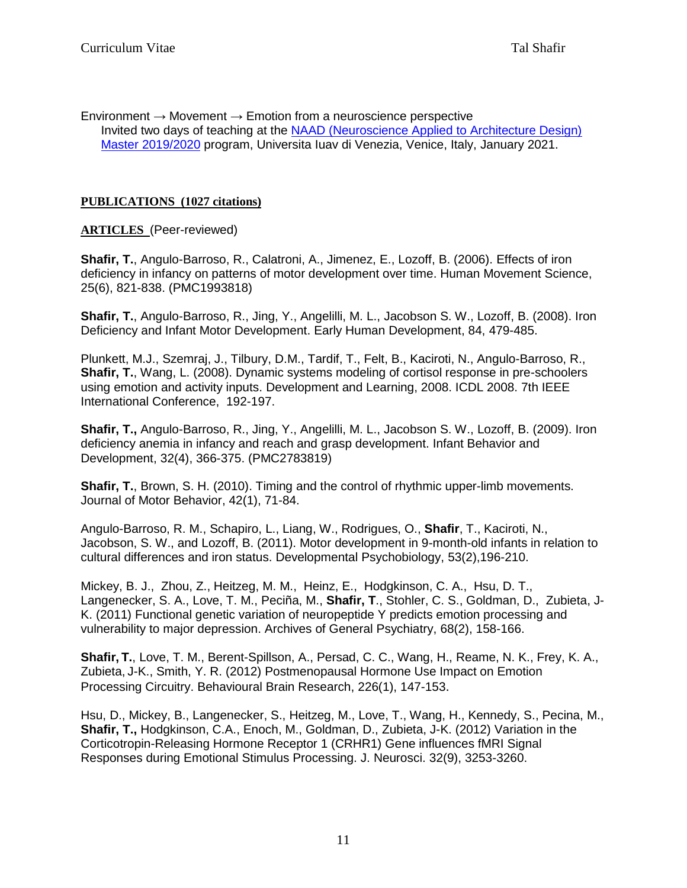Environment  $\rightarrow$  Movement  $\rightarrow$  Emotion from a neuroscience perspective Invited two days of teaching at the [NAAD \(Neuroscience Applied to Architecture Design\)](http://www.naad-master.com/)  Master [2019/2020](http://www.naad-master.com/) program, Universita Iuav di Venezia, Venice, Italy, January 2021.

# **PUBLICATIONS (1027 citations)**

# **ARTICLES** (Peer-reviewed)

**Shafir, T.**, Angulo-Barroso, R., Calatroni, A., Jimenez, E., Lozoff, B. (2006). Effects of iron deficiency in infancy on patterns of motor development over time. Human Movement Science, 25(6), 821-838. (PMC1993818)

**Shafir, T.**, Angulo-Barroso, R., Jing, Y., Angelilli, M. L., Jacobson S. W., Lozoff, B. (2008). Iron Deficiency and Infant Motor Development. Early Human Development, 84, 479-485.

Plunkett, M.J., Szemraj, J., Tilbury, D.M., Tardif, T., Felt, B., Kaciroti, N., Angulo-Barroso, R., **Shafir, T.**, Wang, L. (2008). Dynamic systems modeling of cortisol response in pre-schoolers using emotion and activity inputs. [Development and Learning, 2008. ICDL 2008. 7th IEEE](http://ieeexplore.ieee.org/xpl/mostRecentIssue.jsp?punumber=4636105)  [International Conference,](http://ieeexplore.ieee.org/xpl/mostRecentIssue.jsp?punumber=4636105) 192-197.

**Shafir, T.,** Angulo-Barroso, R., Jing, Y., Angelilli, M. L., Jacobson S. W., Lozoff, B. (2009). Iron deficiency anemia in infancy and reach and grasp development. Infant Behavior and Development, 32(4), 366-375. (PMC2783819)

**Shafir, T.**, Brown, S. H. (2010). Timing and the control of rhythmic upper-limb movements. Journal of Motor Behavior, 42(1), 71-84.

Angulo-Barroso, R. M., Schapiro, L., Liang, W., Rodrigues, O., **Shafir**, T., Kaciroti, N., Jacobson, S. W., and Lozoff, B. (2011). Motor development in 9-month-old infants in relation to cultural differences and iron status. Developmental Psychobiology, 53(2),196-210.

Mickey, B. J., Zhou, Z., Heitzeg, M. M., Heinz, E., Hodgkinson, C. A., Hsu, D. T., Langenecker, S. A., Love, T. M., Peciña, M., **Shafir, T**., Stohler, C. S., Goldman, D., Zubieta, J-K. (2011) Functional genetic variation of neuropeptide Y predicts emotion processing and vulnerability to major depression. Archives of General Psychiatry, 68(2), 158-166.

**Shafir, T.**, Love, T. M., Berent-Spillson, A., Persad, C. C., Wang, H., Reame, N. K., Frey, K. A., Zubieta, J-K., Smith, Y. R. (2012) Postmenopausal Hormone Use Impact on Emotion Processing Circuitry. Behavioural Brain Research, 226(1), 147-153.

Hsu, D., Mickey, B., Langenecker, S., Heitzeg, M., Love, T., Wang, H., Kennedy, S., Pecina, M., **Shafir, T.,** Hodgkinson, C.A., Enoch, M., Goldman, D., Zubieta, J-K. (2012) Variation in the Corticotropin-Releasing Hormone Receptor 1 (CRHR1) Gene influences fMRI Signal Responses during Emotional Stimulus Processing. J. Neurosci. 32(9), 3253-3260.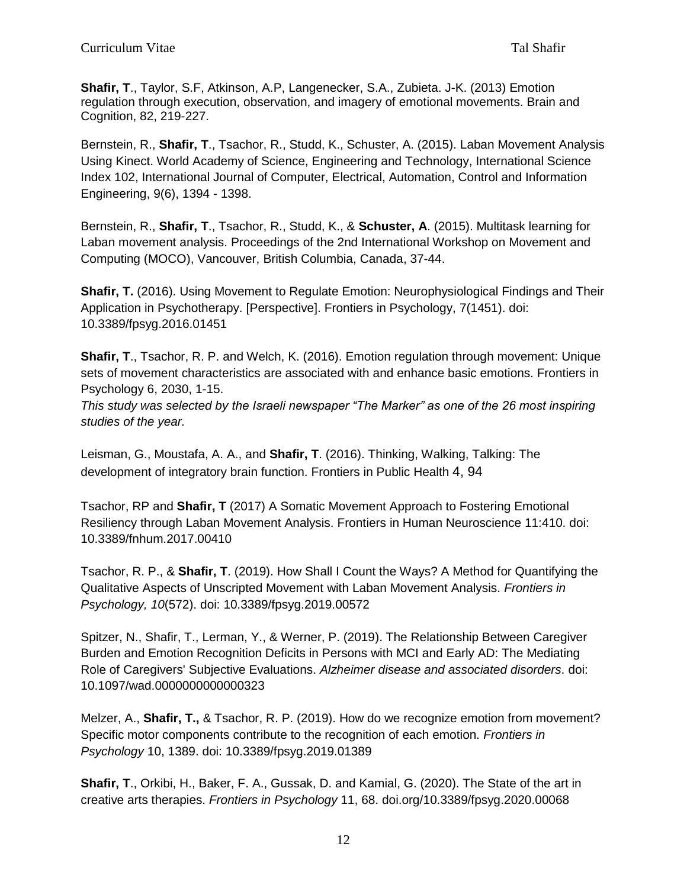**Shafir, T**., Taylor, S.F, Atkinson, A.P, Langenecker, S.A., Zubieta. J-K. (2013) Emotion regulation through execution, observation, and imagery of emotional movements. Brain and Cognition, 82, 219-227.

Bernstein, R., **Shafir, T**., Tsachor, R., Studd, K., Schuster, A. (2015). Laban Movement Analysis Using Kinect. World Academy of Science, Engineering and Technology, International Science Index 102, International Journal of Computer, Electrical, Automation, Control and Information Engineering, 9(6), 1394 - 1398.

Bernstein, R., **Shafir, T**., Tsachor, R., Studd, K., & **Schuster, A**. (2015). Multitask learning for Laban movement analysis. Proceedings of the 2nd International Workshop on Movement and Computing (MOCO), Vancouver, British Columbia, Canada, 37-44.

**Shafir, T.** (2016). Using Movement to Regulate Emotion: Neurophysiological Findings and Their Application in Psychotherapy. [Perspective]. Frontiers in Psychology, 7(1451). doi: 10.3389/fpsyg.2016.01451

**Shafir, T**., Tsachor, R. P. and Welch, K. (2016). Emotion regulation through movement: Unique sets of movement characteristics are associated with and enhance basic emotions. Frontiers in Psychology 6, 2030, 1-15.

*This study was selected by the Israeli newspaper "The Marker" as one of the 26 most inspiring studies of the year.*

Leisman, G., Moustafa, A. A., and **Shafir, T**. (2016). Thinking, Walking, Talking: The development of integratory brain function. Frontiers in Public Health 4, 94

Tsachor, RP and **Shafir, T** (2017) A Somatic Movement Approach to Fostering Emotional Resiliency through Laban Movement Analysis. Frontiers in Human Neuroscience 11:410. doi: 10.3389/fnhum.2017.00410

Tsachor, R. P., & **Shafir, T**. (2019). How Shall I Count the Ways? A Method for Quantifying the Qualitative Aspects of Unscripted Movement with Laban Movement Analysis. *Frontiers in Psychology, 10*(572). doi: 10.3389/fpsyg.2019.00572

Spitzer, N., Shafir, T., Lerman, Y., & Werner, P. (2019). The Relationship Between Caregiver Burden and Emotion Recognition Deficits in Persons with MCI and Early AD: The Mediating Role of Caregivers' Subjective Evaluations. *Alzheimer disease and associated disorders*. doi: 10.1097/wad.0000000000000323

Melzer, A., **Shafir, T.,** & Tsachor, R. P. (2019). How do we recognize emotion from movement? Specific motor components contribute to the recognition of each emotion. *Frontiers in Psychology* 10, 1389. doi: 10.3389/fpsyg.2019.01389

**Shafir, T**., Orkibi, H., Baker, F. A., Gussak, D. and Kamial, G. (2020). The State of the art in creative arts therapies. *Frontiers in Psychology* 11, 68. [doi.org/10.3389/fpsyg.2020.00068](https://doi.org/10.3389/fpsyg.2020.00068)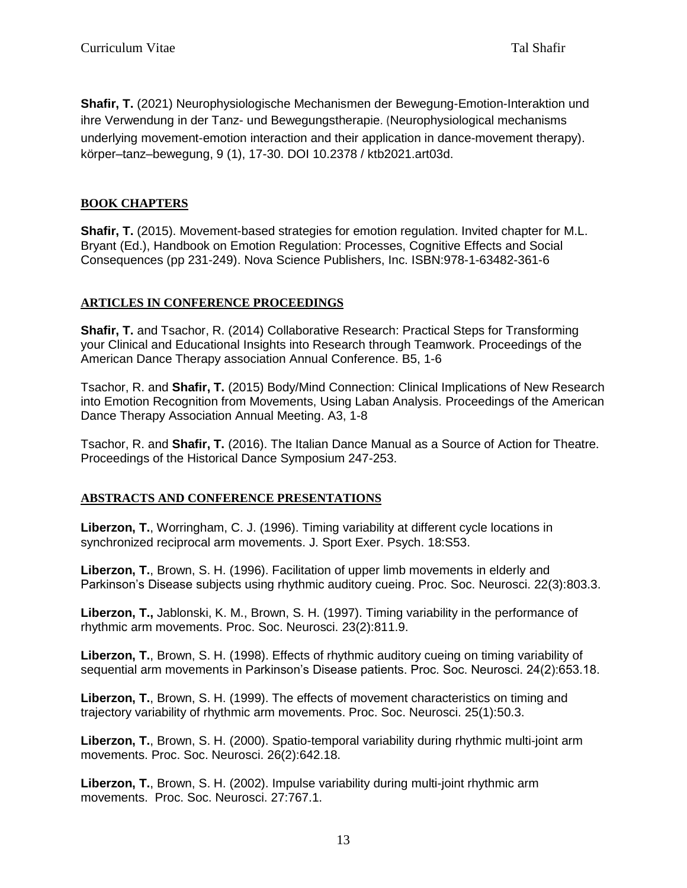**Shafir, T.** (2021) Neurophysiologische Mechanismen der Bewegung-Emotion-Interaktion und ihre Verwendung in der Tanz- und Bewegungstherapie. (Neurophysiological mechanisms underlying movement-emotion interaction and their application in dance-movement therapy). körper–tanz–bewegung, 9 (1), 17-30. DOI 10.2378 / ktb2021.art03d.

# **BOOK CHAPTERS**

**Shafir, T.** (2015). Movement-based strategies for emotion regulation. Invited chapter for M.L. Bryant (Ed.), Handbook on Emotion Regulation: Processes, Cognitive Effects and Social Consequences (pp 231-249). Nova Science Publishers, Inc. ISBN:978-1-63482-361-6

### **ARTICLES IN CONFERENCE PROCEEDINGS**

**Shafir, T.** and Tsachor, R. (2014) Collaborative Research: Practical Steps for Transforming your Clinical and Educational Insights into Research through Teamwork. Proceedings of the American Dance Therapy association Annual Conference. B5, 1-6

Tsachor, R. and **Shafir, T.** (2015) Body/Mind Connection: Clinical Implications of New Research into Emotion Recognition from Movements, Using Laban Analysis. Proceedings of the American Dance Therapy Association Annual Meeting. A3, 1-8

Tsachor, R. and **Shafir, T.** (2016). The Italian Dance Manual as a Source of Action for Theatre. Proceedings of the Historical Dance Symposium 247-253.

# **ABSTRACTS AND CONFERENCE PRESENTATIONS**

**Liberzon, T.**, Worringham, C. J. (1996). Timing variability at different cycle locations in synchronized reciprocal arm movements. J. Sport Exer. Psych. 18:S53.

**Liberzon, T.**, Brown, S. H. (1996). Facilitation of upper limb movements in elderly and Parkinson's Disease subjects using rhythmic auditory cueing. Proc. Soc. Neurosci. 22(3):803.3.

**Liberzon, T.,** Jablonski, K. M., Brown, S. H. (1997). Timing variability in the performance of rhythmic arm movements. Proc. Soc. Neurosci. 23(2):811.9.

**Liberzon, T.**, Brown, S. H. (1998). Effects of rhythmic auditory cueing on timing variability of sequential arm movements in Parkinson's Disease patients. Proc. Soc. Neurosci. 24(2):653.18.

**Liberzon, T.**, Brown, S. H. (1999). The effects of movement characteristics on timing and trajectory variability of rhythmic arm movements. Proc. Soc. Neurosci. 25(1):50.3.

**Liberzon, T.**, Brown, S. H. (2000). Spatio-temporal variability during rhythmic multi-joint arm movements. Proc. Soc. Neurosci. 26(2):642.18.

**Liberzon, T.**, Brown, S. H. (2002). Impulse variability during multi-joint rhythmic arm movements. Proc. Soc. Neurosci. 27:767.1.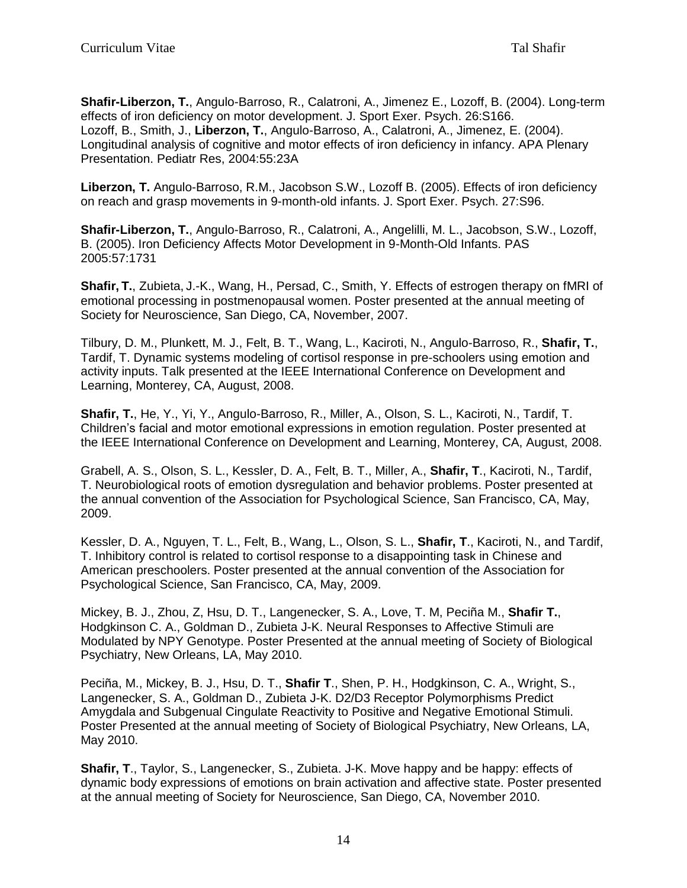**Shafir-Liberzon, T.**, Angulo-Barroso, R., Calatroni, A., Jimenez E., Lozoff, B. (2004). Long-term effects of iron deficiency on motor development. J. Sport Exer. Psych. 26:S166. Lozoff, B., Smith, J., **Liberzon, T.**, Angulo-Barroso, A., Calatroni, A., Jimenez, E. (2004). Longitudinal analysis of cognitive and motor effects of iron deficiency in infancy. APA Plenary Presentation. Pediatr Res, 2004:55:23A

**Liberzon, T.** Angulo-Barroso, R.M., Jacobson S.W., Lozoff B. (2005). Effects of iron deficiency on reach and grasp movements in 9-month-old infants. J. Sport Exer. Psych. 27:S96.

**Shafir-Liberzon, T.**, Angulo-Barroso, R., Calatroni, A., Angelilli, M. L., Jacobson, S.W., Lozoff, B. (2005). Iron Deficiency Affects Motor Development in 9-Month-Old Infants. PAS 2005:57:1731

**Shafir, T.**, Zubieta, J.-K., Wang, H., Persad, C., Smith, Y. Effects of estrogen therapy on fMRI of emotional processing in postmenopausal women. Poster presented at the annual meeting of Society for Neuroscience, San Diego, CA, November, 2007.

Tilbury, D. M., Plunkett, M. J., Felt, B. T., Wang, L., Kaciroti, N., Angulo-Barroso, R., **Shafir, T.**, Tardif, T. Dynamic systems modeling of cortisol response in pre-schoolers using emotion and activity inputs. Talk presented at the IEEE International Conference on Development and Learning, Monterey, CA, August, 2008.

**Shafir, T.**, He, Y., Yi, Y., Angulo-Barroso, R., Miller, A., Olson, S. L., Kaciroti, N., Tardif, T. Children's facial and motor emotional expressions in emotion regulation. Poster presented at the IEEE International Conference on Development and Learning, Monterey, CA, August, 2008.

Grabell, A. S., Olson, S. L., Kessler, D. A., Felt, B. T., Miller, A., **Shafir, T**., Kaciroti, N., Tardif, T. Neurobiological roots of emotion dysregulation and behavior problems. Poster presented at the annual convention of the Association for Psychological Science, San Francisco, CA, May, 2009.

Kessler, D. A., Nguyen, T. L., Felt, B., Wang, L., Olson, S. L., **Shafir, T**., Kaciroti, N., and Tardif, T. Inhibitory control is related to cortisol response to a disappointing task in Chinese and American preschoolers. Poster presented at the annual convention of the Association for Psychological Science, San Francisco, CA, May, 2009.

Mickey, B. J., Zhou, Z, Hsu, D. T., Langenecker, S. A., Love, T. M, Peciña M., **Shafir T.**, Hodgkinson C. A., Goldman D., Zubieta J-K. Neural Responses to Affective Stimuli are Modulated by NPY Genotype. Poster Presented at the annual meeting of Society of Biological Psychiatry, New Orleans, LA, May 2010.

Peciña, M., Mickey, B. J., Hsu, D. T., **Shafir T**., Shen, P. H., Hodgkinson, C. A., Wright, S., Langenecker, S. A., Goldman D., Zubieta J-K. D2/D3 Receptor Polymorphisms Predict Amygdala and Subgenual Cingulate Reactivity to Positive and Negative Emotional Stimuli. Poster Presented at the annual meeting of Society of Biological Psychiatry, New Orleans, LA, May 2010.

**Shafir, T**., Taylor, S., Langenecker, S., Zubieta. J-K. Move happy and be happy: effects of dynamic body expressions of emotions on brain activation and affective state. Poster presented at the annual meeting of Society for Neuroscience, San Diego, CA, November 2010.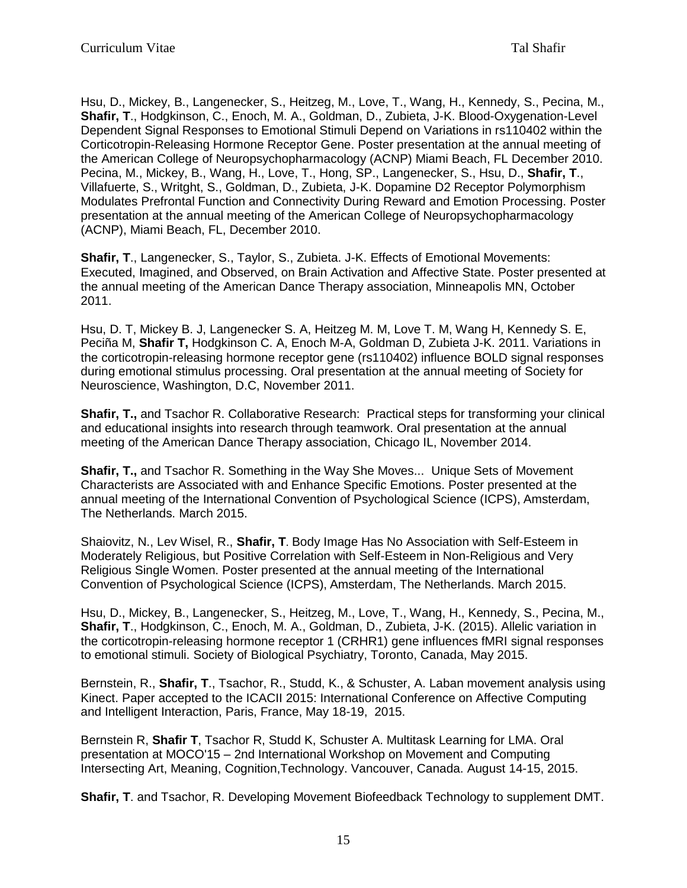Hsu, D., Mickey, B., Langenecker, S., Heitzeg, M., Love, T., Wang, H., Kennedy, S., Pecina, M., **Shafir, T**., Hodgkinson, C., Enoch, M. A., Goldman, D., Zubieta, J-K. Blood-Oxygenation-Level Dependent Signal Responses to Emotional Stimuli Depend on Variations in rs110402 within the Corticotropin-Releasing Hormone Receptor Gene. Poster presentation at the annual meeting of the American College of Neuropsychopharmacology (ACNP) Miami Beach, FL December 2010. Pecina, M., Mickey, B., Wang, H., Love, T., Hong, SP., Langenecker, S., Hsu, D., **Shafir, T**., Villafuerte, S., Writght, S., Goldman, D., Zubieta, J-K. Dopamine D2 Receptor Polymorphism Modulates Prefrontal Function and Connectivity During Reward and Emotion Processing. Poster presentation at the annual meeting of the American College of Neuropsychopharmacology (ACNP), Miami Beach, FL, December 2010.

**Shafir, T**., Langenecker, S., Taylor, S., Zubieta. J-K. Effects of Emotional Movements: Executed, Imagined, and Observed, on Brain Activation and Affective State. Poster presented at the annual meeting of the American Dance Therapy association, Minneapolis MN, October 2011.

Hsu, D. T, Mickey B. J, Langenecker S. A, Heitzeg M. M, Love T. M, Wang H, Kennedy S. E, Peciña M, **Shafir T,** Hodgkinson C. A, Enoch M-A, Goldman D, Zubieta J-K. 2011. Variations in the corticotropin-releasing hormone receptor gene (rs110402) influence BOLD signal responses during emotional stimulus processing. Oral presentation at the annual meeting of Society for Neuroscience, Washington, D.C, November 2011.

**Shafir, T., and Tsachor R. Collaborative Research: Practical steps for transforming your clinical** and educational insights into research through teamwork. Oral presentation at the annual meeting of the American Dance Therapy association, Chicago IL, November 2014.

**Shafir, T.,** and Tsachor R. Something in the Way She Moves... Unique Sets of Movement Characterists are Associated with and Enhance Specific Emotions. Poster presented at the annual meeting of the International Convention of Psychological Science (ICPS), Amsterdam, The Netherlands. March 2015.

Shaiovitz, N., Lev Wisel, R., **Shafir, T**. Body Image Has No Association with Self-Esteem in Moderately Religious, but Positive Correlation with Self-Esteem in Non-Religious and Very Religious Single Women. Poster presented at the annual meeting of the International Convention of Psychological Science (ICPS), Amsterdam, The Netherlands. March 2015.

Hsu, D., Mickey, B., Langenecker, S., Heitzeg, M., Love, T., Wang, H., Kennedy, S., Pecina, M., **Shafir, T**., Hodgkinson, C., Enoch, M. A., Goldman, D., Zubieta, J-K. (2015). Allelic variation in the corticotropin-releasing hormone receptor 1 (CRHR1) gene influences fMRI signal responses to emotional stimuli. Society of Biological Psychiatry, Toronto, Canada, May 2015.

Bernstein, R., **Shafir, T**., Tsachor, R., Studd, K., & Schuster, A. Laban movement analysis using Kinect. Paper accepted to the ICACII 2015: International Conference on Affective Computing and Intelligent Interaction, Paris, France, May 18-19, 2015.

Bernstein R, **Shafir T**, Tsachor R, Studd K, Schuster A. Multitask Learning for LMA. Oral presentation at MOCO'15 – 2nd International Workshop on Movement and Computing Intersecting Art, Meaning, Cognition,Technology. Vancouver, Canada. August 14-15, 2015.

**Shafir, T**. and Tsachor, R. Developing Movement Biofeedback Technology to supplement DMT.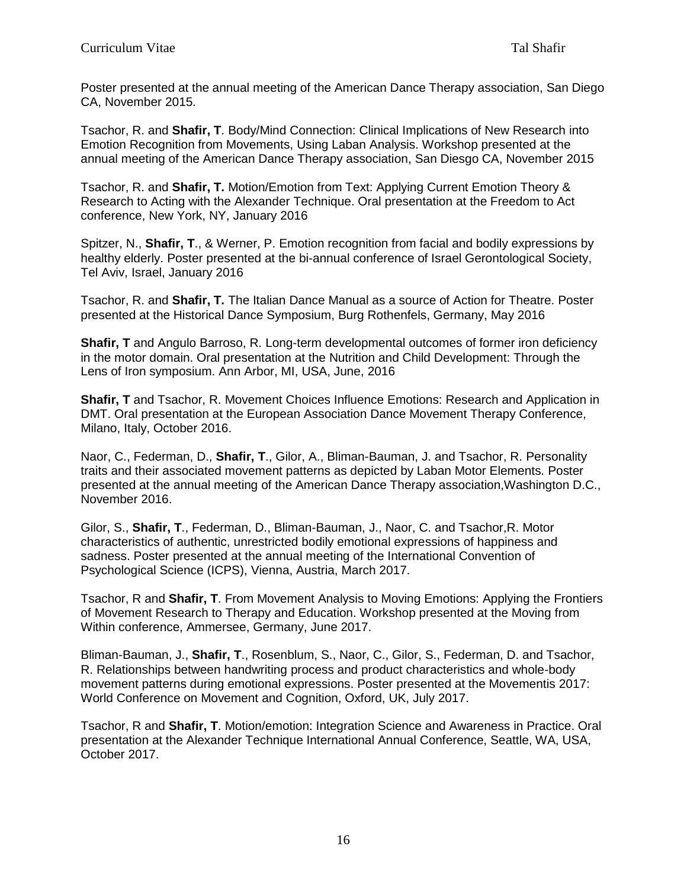Poster presented at the annual meeting of the American Dance Therapy association, San Diego CA, November 2015.

Tsachor, R. and **Shafir, T**. Body/Mind Connection: Clinical Implications of New Research into Emotion Recognition from Movements, Using Laban Analysis. Workshop presented at the annual meeting of the American Dance Therapy association, San Diesgo CA, November 2015

Tsachor, R. and **Shafir, T.** Motion/Emotion from Text: Applying Current Emotion Theory & Research to Acting with the Alexander Technique. Oral presentation at the Freedom to Act conference, New York, NY, January 2016

Spitzer, N., **Shafir, T**., & Werner, P. Emotion recognition from facial and bodily expressions by healthy elderly. Poster presented at the bi-annual conference of Israel Gerontological Society, Tel Aviv, Israel, January 2016

Tsachor, R. and **Shafir, T.** The Italian Dance Manual as a source of Action for Theatre. Poster presented at the Historical Dance Symposium, Burg Rothenfels, Germany, May 2016

**Shafir, T** and Angulo Barroso, R. Long-term developmental outcomes of former iron deficiency in the motor domain. Oral presentation at the Nutrition and Child Development: Through the Lens of Iron symposium. Ann Arbor, MI, USA, June, 2016

**Shafir, T** and Tsachor, R. Movement Choices Influence Emotions: Research and Application in DMT. Oral presentation at the European Association Dance Movement Therapy Conference, Milano, Italy, October 2016.

Naor, C., Federman, D., **Shafir, T**., Gilor, A., Bliman-Bauman, J. and Tsachor, R. Personality traits and their associated movement patterns as depicted by Laban Motor Elements. Poster presented at the annual meeting of the American Dance Therapy association,Washington D.C., November 2016.

Gilor, S., **Shafir, T**., Federman, D., Bliman-Bauman, J., Naor, C. and Tsachor,R. Motor characteristics of authentic, unrestricted bodily emotional expressions of happiness and sadness. Poster presented at the annual meeting of the International Convention of Psychological Science (ICPS), Vienna, Austria, March 2017.

Tsachor, R and **Shafir, T**. From Movement Analysis to Moving Emotions: Applying the Frontiers of Movement Research to Therapy and Education. Workshop presented at the Moving from Within conference, Ammersee, Germany, June 2017.

Bliman-Bauman, J., **Shafir, T**., Rosenblum, S., Naor, C., Gilor, S., Federman, D. and Tsachor, R. Relationships between handwriting process and product characteristics and whole-body movement patterns during emotional expressions. Poster presented at the Movementis 2017: World Conference on Movement and Cognition, Oxford, UK, July 2017.

Tsachor, R and **Shafir, T**. Motion/emotion: Integration Science and Awareness in Practice. Oral presentation at the Alexander Technique International Annual Conference, Seattle, WA, USA, October 2017.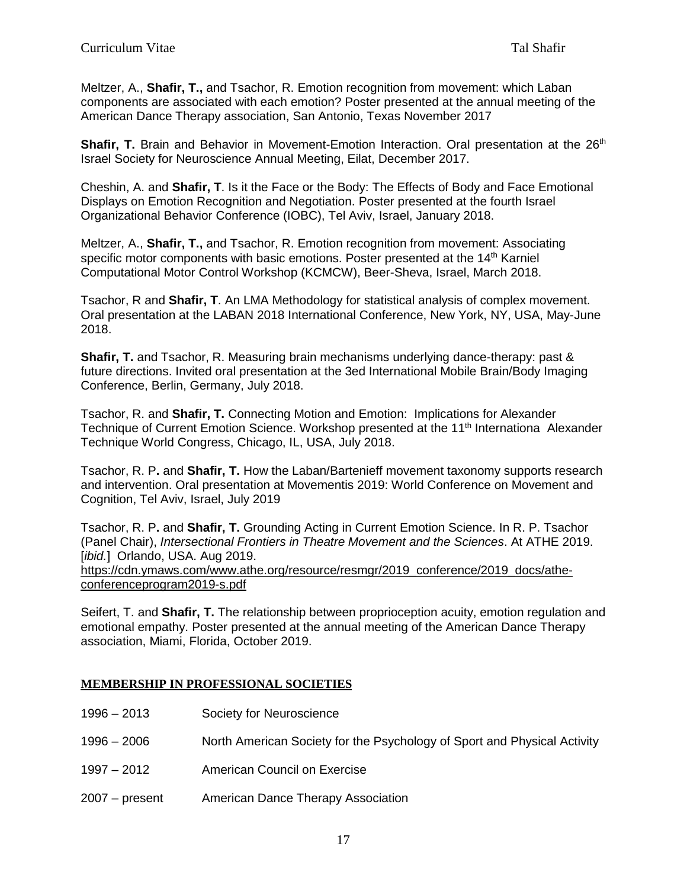Meltzer, A., **Shafir, T.,** and Tsachor, R. Emotion recognition from movement: which Laban components are associated with each emotion? Poster presented at the annual meeting of the American Dance Therapy association, San Antonio, Texas November 2017

**Shafir, T.** Brain and Behavior in Movement-Emotion Interaction. Oral presentation at the 26<sup>th</sup> Israel Society for Neuroscience Annual Meeting, Eilat, December 2017.

Cheshin, A. and **Shafir, T**. Is it the Face or the Body: The Effects of Body and Face Emotional Displays on Emotion Recognition and Negotiation. Poster presented at the fourth Israel Organizational Behavior Conference (IOBC), Tel Aviv, Israel, January 2018.

Meltzer, A., **Shafir, T.,** and Tsachor, R. Emotion recognition from movement: Associating specific motor components with basic emotions. Poster presented at the  $14<sup>th</sup>$  Karniel Computational Motor Control Workshop (KCMCW), Beer-Sheva, Israel, March 2018.

Tsachor, R and **Shafir, T**. An LMA Methodology for statistical analysis of complex movement. Oral presentation at the LABAN 2018 International Conference, New York, NY, USA, May-June 2018.

**Shafir, T.** and Tsachor, R. Measuring brain mechanisms underlying dance-therapy: past & future directions. Invited oral presentation at the 3ed International Mobile Brain/Body Imaging Conference, Berlin, Germany, July 2018.

Tsachor, R. and **Shafir, T.** Connecting Motion and Emotion: Implications for Alexander Technique of Current Emotion Science. Workshop presented at the 11<sup>th</sup> Internationa Alexander Technique World Congress, Chicago, IL, USA, July 2018.

Tsachor, R. P**.** and **Shafir, T.** How the Laban/Bartenieff movement taxonomy supports research and intervention. Oral presentation at Movementis 2019: World Conference on Movement and Cognition, Tel Aviv, Israel, July 2019

Tsachor, R. P**.** and **Shafir, T.** Grounding Acting in Current Emotion Science. In R. P. Tsachor (Panel Chair), *Intersectional Frontiers in Theatre Movement and the Sciences*. At ATHE 2019. [*ibid.*] Orlando, USA. Aug 2019.

[https://cdn.ymaws.com/www.athe.org/resource/resmgr/2019\\_conference/2019\\_docs/athe](https://cdn.ymaws.com/www.athe.org/resource/resmgr/2019_conference/2019_docs/athe-conferenceprogram2019-s.pdf)[conferenceprogram2019-s.pdf](https://cdn.ymaws.com/www.athe.org/resource/resmgr/2019_conference/2019_docs/athe-conferenceprogram2019-s.pdf)

Seifert, T. and **Shafir, T.** The relationship between proprioception acuity, emotion regulation and emotional empathy. Poster presented at the annual meeting of the American Dance Therapy association, Miami, Florida, October 2019.

### **MEMBERSHIP IN PROFESSIONAL SOCIETIES**

- 1996 2013 Society for Neuroscience
- 1996 2006 North American Society for the Psychology of Sport and Physical Activity
- 1997 2012 American Council on Exercise
- 2007 present American Dance Therapy Association